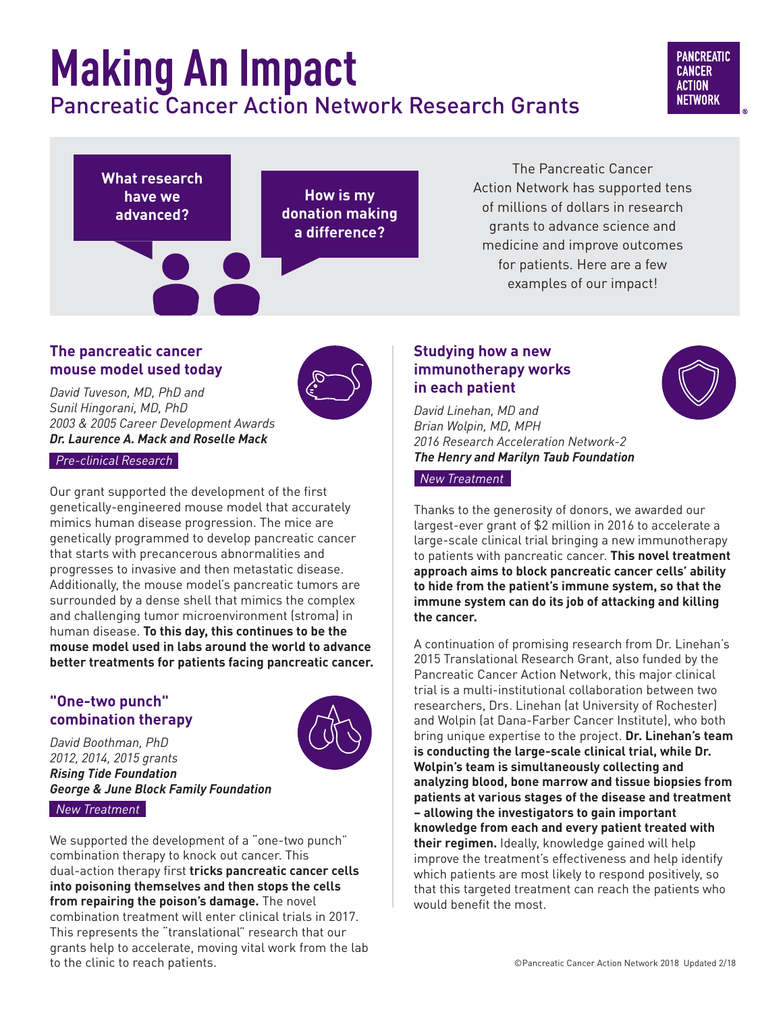# **Making An Impact** Pancreatic Cancer Action Network Research Grants

## **PANCREATIC CANCER ACTION NETWORK**



The Pancreatic Cancer Action Network has supported tens of millions of dollars in research grants to advance science and medicine and improve outcomes for patients. Here are a few examples of our impact!

# **The pancreatic cancer mouse model used today**

*David Tuveson, MD, PhD and Sunil Hingorani, MD, PhD 2003 & 2005 Career Development Awards Dr. Laurence A. Mack and Roselle Mack* 

 *Pre-clinical Research*

Our grant supported the development of the first genetically-engineered mouse model that accurately mimics human disease progression. The mice are genetically programmed to develop pancreatic cancer that starts with precancerous abnormalities and progresses to invasive and then metastatic disease. Additionally, the mouse model's pancreatic tumors are surrounded by a dense shell that mimics the complex and challenging tumor microenvironment (stroma) in human disease. **To this day, this continues to be the mouse model used in labs around the world to advance better treatments for patients facing pancreatic cancer.**

# **"One-two punch" combination therapy**



*David Boothman, PhD 2012, 2014, 2015 grants Rising Tide Foundation George & June Block Family Foundation New Treatment*

We supported the development of a "one-two punch" combination therapy to knock out cancer. This dual-action therapy first **tricks pancreatic cancer cells into poisoning themselves and then stops the cells from repairing the poison's damage.** The novel combination treatment will enter clinical trials in 2017. This represents the "translational" research that our grants help to accelerate, moving vital work from the lab to the clinic to reach patients.

# **Studying how a new immunotherapy works in each patient**



*David Linehan, MD and Brian Wolpin, MD, MPH 2016 Research Acceleration Network-2 The Henry and Marilyn Taub Foundation*

 *New Treatment* 

Thanks to the generosity of donors, we awarded our largest-ever grant of \$2 million in 2016 to accelerate a large-scale clinical trial bringing a new immunotherapy to patients with pancreatic cancer. **This novel treatment approach aims to block pancreatic cancer cells' ability to hide from the patient's immune system, so that the immune system can do its job of attacking and killing the cancer.** 

A continuation of promising research from Dr. Linehan's 2015 Translational Research Grant, also funded by the Pancreatic Cancer Action Network, this major clinical trial is a multi-institutional collaboration between two researchers, Drs. Linehan (at University of Rochester) and Wolpin (at Dana-Farber Cancer Institute), who both bring unique expertise to the project. **Dr. Linehan's team is conducting the large-scale clinical trial, while Dr. Wolpin's team is simultaneously collecting and analyzing blood, bone marrow and tissue biopsies from patients at various stages of the disease and treatment – allowing the investigators to gain important knowledge from each and every patient treated with their regimen.** Ideally, knowledge gained will help improve the treatment's effectiveness and help identify which patients are most likely to respond positively, so that this targeted treatment can reach the patients who would benefit the most.